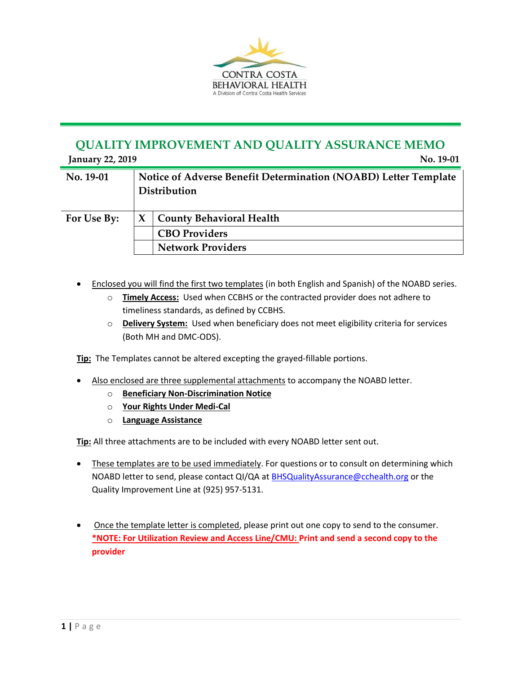

## **QUALITY IMPROVEMENT AND QUALITY ASSURANCE MEMO**

| <b>January 22, 2019</b> |                                                                                 | No. 19-01                       |
|-------------------------|---------------------------------------------------------------------------------|---------------------------------|
| No. 19-01               | Notice of Adverse Benefit Determination (NOABD) Letter Template<br>Distribution |                                 |
| For Use By:             |                                                                                 | <b>County Behavioral Health</b> |
|                         |                                                                                 | <b>CBO Providers</b>            |
|                         |                                                                                 | <b>Network Providers</b>        |

- Enclosed you will find the first two templates (in both English and Spanish) of the NOABD series.
	- o **Timely Access:** Used when CCBHS or the contracted provider does not adhere to timeliness standards, as defined by CCBHS.
	- o **Delivery System:** Used when beneficiary does not meet eligibility criteria for services (Both MH and DMC-ODS).

**Tip:** The Templates cannot be altered excepting the grayed-fillable portions.

- Also enclosed are three supplemental attachments to accompany the NOABD letter.
	- o **Beneficiary Non-Discrimination Notice**
	- o **Your Rights Under Medi-Cal**
	- o **Language Assistance**

**Tip:** All three attachments are to be included with every NOABD letter sent out.

- These templates are to be used immediately. For questions or to consult on determining which NOABD letter to send, please contact QI/QA at [BHSQualityAssurance@cchealth.org](mailto:BHSQualityAssurance@cchealth.org) or the Quality Improvement Line at (925) 957-5131.
- Once the template letter is completed, please print out one copy to send to the consumer. **\*NOTE: For Utilization Review and Access Line/CMU: Print and send a second copy to the provider**